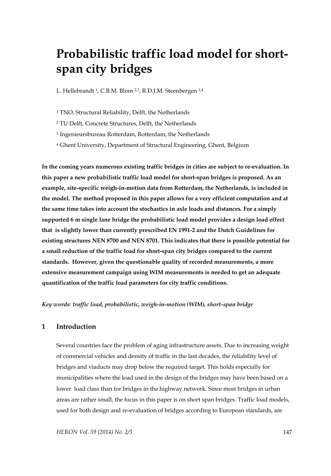# **Probabilistic traffic load model for shortspan city bridges**

L. Hellebrandt <sup>1</sup>, C.B.M. Blom <sup>2,3</sup>, R.D.J.M. Steenbergen <sup>1,4</sup>

1 TNO, Structural Reliability, Delft, the Netherlands

2 TU Delft, Concrete Structures, Delft, the Netherlands

3 Ingenieursbureau Rotterdam, Rotterdam, the Netherlands

4 Ghent University, Department of Structural Engineering, Ghent, Belgium

**In the coming years numerous existing traffic bridges in cities are subject to re-evaluation. In this paper a new probabilistic traffic load model for short-span bridges is proposed. As an example, site-specific weigh-in-motion data from Rotterdam, the Netherlands, is included in the model. The method proposed in this paper allows for a very efficient computation and at the same time takes into account the stochastics in axle loads and distances. For a simply supported 6 m single lane bridge the probabilistic load model provides a design load effect that is slightly lower than currently prescribed EN 1991-2 and the Dutch Guidelines for existing structures NEN 8700 and NEN 8701. This indicates that there is possible potential for a small reduction of the traffic load for short-span city bridges compared to the current standards. However, given the questionable quality of recorded measurements, a more extensive measurement campaign using WIM measurements is needed to get an adequate quantification of the traffic load parameters for city traffic conditions.** 

*Key words: traffic load, probabilistic, weigh-in-motion (WIM), short-span bridge* 

# **1 Introduction**

Several countries face the problem of aging infrastructure assets. Due to increasing weight of commercial vehicles and density of traffic in the last decades, the reliability level of bridges and viaducts may drop below the required target. This holds especially for municipalities where the load used in the design of the bridges may have been based on a lower load class than for bridges in the highway network. Since most bridges in urban areas are rather small, the focus in this paper is on short span bridges. Traffic load models, used for both design and re-evaluation of bridges according to European standards, are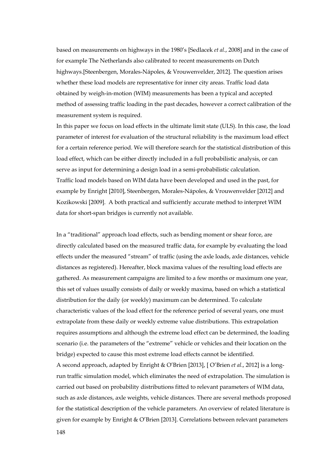based on measurements on highways in the 1980's [Sedlacek *et al*., 2008] and in the case of for example The Netherlands also calibrated to recent measurements on Dutch highways.[Steenbergen, Morales-Nápoles, & Vrouwenvelder, 2012]. The question arises whether these load models are representative for inner city areas. Traffic load data obtained by weigh-in-motion (WIM) measurements has been a typical and accepted method of assessing traffic loading in the past decades, however a correct calibration of the measurement system is required.

In this paper we focus on load effects in the ultimate limit state (ULS). In this case, the load parameter of interest for evaluation of the structural reliability is the maximum load effect for a certain reference period. We will therefore search for the statistical distribution of this load effect, which can be either directly included in a full probabilistic analysis, or can serve as input for determining a design load in a semi-probabilistic calculation. Traffic load models based on WIM data have been developed and used in the past, for example by Enright [2010], Steenbergen, Morales-Nápoles, & Vrouwenvelder [2012] and Kozikowski [2009]. A both practical and sufficiently accurate method to interpret WIM data for short-span bridges is currently not available.

In a "traditional" approach load effects, such as bending moment or shear force, are directly calculated based on the measured traffic data, for example by evaluating the load effects under the measured "stream" of traffic (using the axle loads, axle distances, vehicle distances as registered). Hereafter, block maxima values of the resulting load effects are gathered. As measurement campaigns are limited to a few months or maximum one year, this set of values usually consists of daily or weekly maxima, based on which a statistical distribution for the daily (or weekly) maximum can be determined. To calculate characteristic values of the load effect for the reference period of several years, one must extrapolate from these daily or weekly extreme value distributions. This extrapolation requires assumptions and although the extreme load effect can be determined, the loading scenario (i.e. the parameters of the "extreme" vehicle or vehicles and their location on the bridge) expected to cause this most extreme load effects cannot be identified. A second approach, adapted by Enright & O'Brien [2013], [ O'Brien *et al*., 2012] is a longrun traffic simulation model, which eliminates the need of extrapolation. The simulation is carried out based on probability distributions fitted to relevant parameters of WIM data,

such as axle distances, axle weights, vehicle distances. There are several methods proposed for the statistical description of the vehicle parameters. An overview of related literature is given for example by Enright & O'Brien [2013]. Correlations between relevant parameters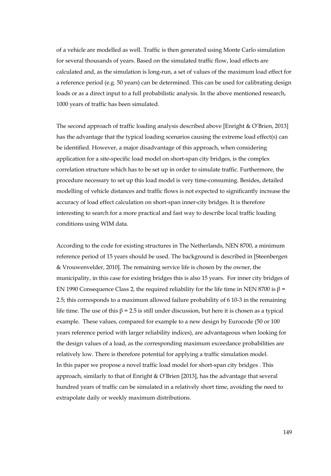of a vehicle are modelled as well. Traffic is then generated using Monte Carlo simulation for several thousands of years. Based on the simulated traffic flow, load effects are calculated and, as the simulation is long-run, a set of values of the maximum load effect for a reference period (e.g. 50 years) can be determined. This can be used for calibrating design loads or as a direct input to a full probabilistic analysis. In the above mentioned research, 1000 years of traffic has been simulated.

The second approach of traffic loading analysis described above [Enright & O'Brien, 2013] has the advantage that the typical loading scenarios causing the extreme load effect(s) can be identified. However, a major disadvantage of this approach, when considering application for a site-specific load model on short-span city bridges, is the complex correlation structure which has to be set up in order to simulate traffic. Furthermore, the procedure necessary to set up this load model is very time-consuming. Besides, detailed modelling of vehicle distances and traffic flows is not expected to significantly increase the accuracy of load effect calculation on short-span inner-city bridges. It is therefore interesting to search for a more practical and fast way to describe local traffic loading conditions using WIM data.

According to the code for existing structures in The Netherlands, NEN 8700, a minimum reference period of 15 years should be used. The background is described in [Steenbergen & Vrouwenvelder, 2010]. The remaining service life is chosen by the owner, the municipality, in this case for existing bridges this is also 15 years. For inner city bridges of EN 1990 Consequence Class 2, the required reliability for the life time in NEN 8700 is  $\beta$  = 2.5; this corresponds to a maximum allowed failure probability of 6 10-3 in the remaining life time. The use of this  $β = 2.5$  is still under discussion, but here it is chosen as a typical example. These values, compared for example to a new design by Eurocode (50 or 100 years reference period with larger reliability indices), are advantageous when looking for the design values of a load, as the corresponding maximum exceedance probabilities are relatively low. There is therefore potential for applying a traffic simulation model. In this paper we propose a novel traffic load model for short-span city bridges . This approach, similarly to that of Enright & O'Brien [2013], has the advantage that several hundred years of traffic can be simulated in a relatively short time, avoiding the need to extrapolate daily or weekly maximum distributions.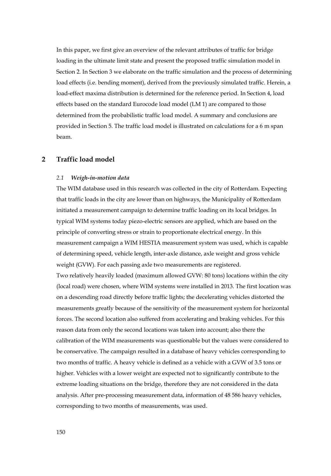In this paper, we first give an overview of the relevant attributes of traffic for bridge loading in the ultimate limit state and present the proposed traffic simulation model in Section 2. In Section 3 we elaborate on the traffic simulation and the process of determining load effects (i.e. bending moment), derived from the previously simulated traffic. Herein, a load-effect maxima distribution is determined for the reference period. In Section 4, load effects based on the standard Eurocode load model (LM 1) are compared to those determined from the probabilistic traffic load model. A summary and conclusions are provided in Section 5. The traffic load model is illustrated on calculations for a 6 m span beam.

## **2 Traffic load model**

#### *2.1 Weigh-in-motion data*

The WIM database used in this research was collected in the city of Rotterdam. Expecting that traffic loads in the city are lower than on highways, the Municipality of Rotterdam initiated a measurement campaign to determine traffic loading on its local bridges. In typical WIM systems today piezo-electric sensors are applied, which are based on the principle of converting stress or strain to proportionate electrical energy. In this measurement campaign a WIM HESTIA measurement system was used, which is capable of determining speed, vehicle length, inter-axle distance, axle weight and gross vehicle weight (GVW). For each passing axle two measurements are registered.

Two relatively heavily loaded (maximum allowed GVW: 80 tons) locations within the city (local road) were chosen, where WIM systems were installed in 2013. The first location was on a descending road directly before traffic lights; the decelerating vehicles distorted the measurements greatly because of the sensitivity of the measurement system for horizontal forces. The second location also suffered from accelerating and braking vehicles. For this reason data from only the second locations was taken into account; also there the calibration of the WIM measurements was questionable but the values were considered to be conservative. The campaign resulted in a database of heavy vehicles corresponding to two months of traffic. A heavy vehicle is defined as a vehicle with a GVW of 3.5 tons or higher. Vehicles with a lower weight are expected not to significantly contribute to the extreme loading situations on the bridge, therefore they are not considered in the data analysis. After pre-processing measurement data, information of 48 586 heavy vehicles, corresponding to two months of measurements, was used.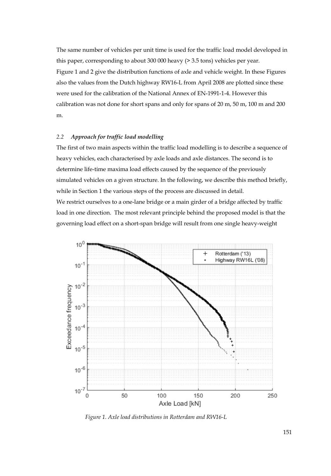The same number of vehicles per unit time is used for the traffic load model developed in this paper, corresponding to about 300 000 heavy (> 3.5 tons) vehicles per year. Figure 1 and 2 give the distribution functions of axle and vehicle weight. In these Figures also the values from the Dutch highway RW16-L from April 2008 are plotted since these were used for the calibration of the National Annex of EN-1991-1-4. However this calibration was not done for short spans and only for spans of 20 m, 50 m, 100 m and 200 m.

## *2.2 Approach for traffic load modelling*

The first of two main aspects within the traffic load modelling is to describe a sequence of heavy vehicles, each characterised by axle loads and axle distances. The second is to determine life-time maxima load effects caused by the sequence of the previously simulated vehicles on a given structure. In the following, we describe this method briefly, while in Section 1 the various steps of the process are discussed in detail. We restrict ourselves to a one-lane bridge or a main girder of a bridge affected by traffic load in one direction. The most relevant principle behind the proposed model is that the governing load effect on a short-span bridge will result from one single heavy-weight



 *Figure 1. Axle load distributions in Rotterdam and RW16-L*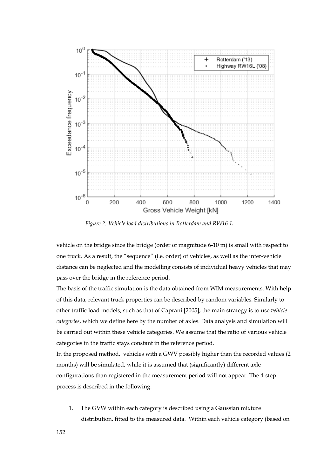

 *Figure 2. Vehicle load distributions in Rotterdam and RW16-L* 

vehicle on the bridge since the bridge (order of magnitude 6-10 m) is small with respect to one truck. As a result, the "sequence" (i.e. order) of vehicles, as well as the inter-vehicle distance can be neglected and the modelling consists of individual heavy vehicles that may pass over the bridge in the reference period.

The basis of the traffic simulation is the data obtained from WIM measurements. With help of this data, relevant truck properties can be described by random variables. Similarly to other traffic load models, such as that of Caprani [2005], the main strategy is to use *vehicle categories*, which we define here by the number of axles. Data analysis and simulation will be carried out within these vehicle categories. We assume that the ratio of various vehicle categories in the traffic stays constant in the reference period.

In the proposed method, vehicles with a GWV possibly higher than the recorded values (2 months) will be simulated, while it is assumed that (significantly) different axle configurations than registered in the measurement period will not appear. The 4-step process is described in the following.

1. The GVW within each category is described using a Gaussian mixture distribution, fitted to the measured data. Within each vehicle category (based on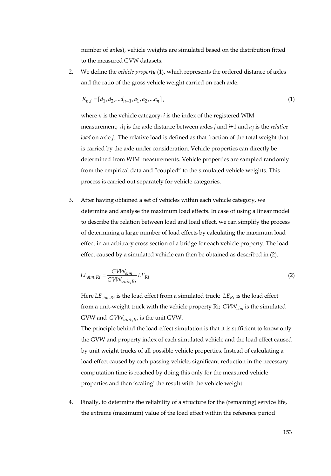number of axles), vehicle weights are simulated based on the distribution fitted to the measured GVW datasets.

2. We define the *vehicle property* (1), which represents the ordered distance of axles and the ratio of the gross vehicle weight carried on each axle.

$$
R_{n,i} = [d_1, d_2, \dots d_{n-1}, a_1, a_2, \dots a_n],
$$
\n(1)

where *n* is the vehicle category; *i* is the index of the registered WIM measurement;  $d_i$  is the axle distance between axles *j* and  $j+1$  and  $a_i$  is the *relative load* on axle *j*. The relative load is defined as that fraction of the total weight that is carried by the axle under consideration. Vehicle properties can directly be determined from WIM measurements. Vehicle properties are sampled randomly from the empirical data and "coupled" to the simulated vehicle weights. This process is carried out separately for vehicle categories.

3. After having obtained a set of vehicles within each vehicle category, we determine and analyse the maximum load effects. In case of using a linear model to describe the relation between load and load effect, we can simplify the process of determining a large number of load effects by calculating the maximum load effect in an arbitrary cross section of a bridge for each vehicle property. The load effect caused by a simulated vehicle can then be obtained as described in (2).

$$
LE_{sim, Ri} = \frac{GVW_{sim}}{GVW_{unit, Ri}} LE_{Ri}
$$
 (2)

Here  $LE_{sim, Ri}$  is the load effect from a simulated truck;  $LE_{Ri}$  is the load effect from a unit-weight truck with the vehicle property Ri; *GVW<sub>sim</sub>* is the simulated GVW and  $GVW_{unit, Ri}$  is the unit GVW.

The principle behind the load-effect simulation is that it is sufficient to know only the GVW and property index of each simulated vehicle and the load effect caused by unit weight trucks of all possible vehicle properties. Instead of calculating a load effect caused by each passing vehicle, significant reduction in the necessary computation time is reached by doing this only for the measured vehicle properties and then 'scaling' the result with the vehicle weight.

4. Finally, to determine the reliability of a structure for the (remaining) service life, the extreme (maximum) value of the load effect within the reference period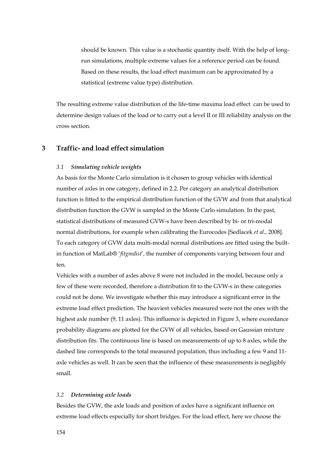should be known. This value is a stochastic quantity itself. With the help of longrun simulations, multiple extreme values for a reference period can be found. Based on these results, the load effect maximum can be approximated by a statistical (extreme value type) distribution.

The resulting extreme value distribution of the life-time maxima load effect can be used to determine design values of the load or to carry out a level II or III reliability analysis on the cross section.

## **3 Traffic- and load effect simulation**

#### *3.1 Simulating vehicle weights*

As basis for the Monte Carlo simulation is it chosen to group vehicles with identical number of axles in one category, defined in 2.2. Per category an analytical distribution function is fitted to the empirical distribution function of the GVW and from that analytical distribution function the GVW is sampled in the Monte Carlo simulation. In the past, statistical distributions of measured GVW-s have been described by bi- or tri-modal normal distributions, for example when calibrating the Eurocodes [Sedlacek *et al*., 2008]. To each category of GVW data multi-modal normal distributions are fitted using the builtin function of MatLab® '*fitgmdist*', the number of components varying between four and ten.

Vehicles with a number of axles above 8 were not included in the model, because only a few of these were recorded, therefore a distribution fit to the GVW-s in these categories could not be done. We investigate whether this may introduce a significant error in the extreme load effect prediction. The heaviest vehicles measured were not the ones with the highest axle number (9, 11 axles). This influence is depicted in Figure 3, where exceedance probability diagrams are plotted for the GVW of all vehicles, based on Gaussian mixture distribution fits. The continuous line is based on measurements of up to 8 axles, while the dashed line corresponds to the total measured population, thus including a few 9 and 11 axle vehicles as well. It can be seen that the influence of these measurements is negligibly small.

#### *3.2 Determining axle loads*

Besides the GVW, the axle loads and position of axles have a significant influence on extreme load effects especially for short bridges. For the load effect, here we choose the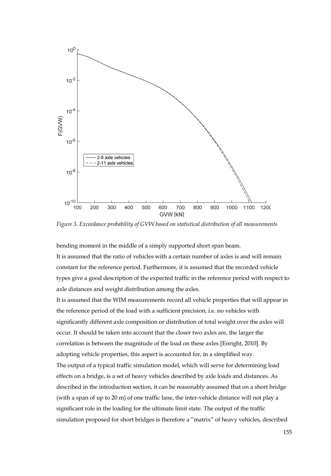

*Figure 3. Exceedance probability of GVW based on statistical distribution of all measurements* 

bending moment in the middle of a simply supported short span beam. It is assumed that the ratio of vehicles with a certain number of axles is and will remain constant for the reference period. Furthermore, it is assumed that the recorded vehicle types give a good description of the expected traffic in the reference period with respect to axle distances and weight distribution among the axles.

It is assumed that the WIM measurements record all vehicle properties that will appear in the reference period of the load with a sufficient precision, i.e. no vehicles with significantly different axle composition or distribution of total weight over the axles will occur. It should be taken into account that the closer two axles are, the larger the correlation is between the magnitude of the load on these axles [Enright, 2010]. By adopting vehicle properties, this aspect is accounted for, in a simplified way. The output of a typical traffic simulation model, which will serve for determining load effects on a bridge, is a set of heavy vehicles described by axle loads and distances. As described in the introduction section, it can be reasonably assumed that on a short bridge (with a span of up to 20 m) of one traffic lane, the inter-vehicle distance will not play a significant role in the loading for the ultimate limit state. The output of the traffic simulation proposed for short bridges is therefore a "matrix" of heavy vehicles, described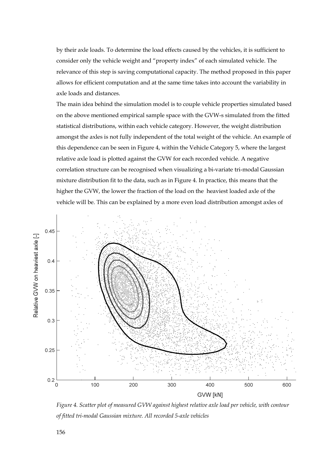by their axle loads. To determine the load effects caused by the vehicles, it is sufficient to consider only the vehicle weight and "property index" of each simulated vehicle. The relevance of this step is saving computational capacity. The method proposed in this paper allows for efficient computation and at the same time takes into account the variability in axle loads and distances.

The main idea behind the simulation model is to couple vehicle properties simulated based on the above mentioned empirical sample space with the GVW-s simulated from the fitted statistical distributions, within each vehicle category. However, the weight distribution amongst the axles is not fully independent of the total weight of the vehicle. An example of this dependence can be seen in Figure 4, within the Vehicle Category 5, where the largest relative axle load is plotted against the GVW for each recorded vehicle. A negative correlation structure can be recognised when visualizing a bi-variate tri-modal Gaussian mixture distribution fit to the data, such as in Figure 4. In practice, this means that the higher the GVW, the lower the fraction of the load on the heaviest loaded axle of the vehicle will be. This can be explained by a more even load distribution amongst axles of



*Figure 4. Scatter plot of measured GVW against highest relative axle load per vehicle, with contour of fitted tri-modal Gaussian mixture. All recorded 5-axle vehicles*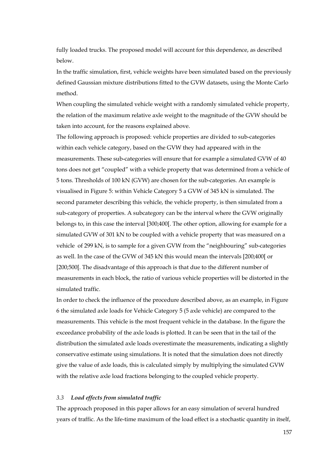fully loaded trucks. The proposed model will account for this dependence, as described below.

In the traffic simulation, first, vehicle weights have been simulated based on the previously defined Gaussian mixture distributions fitted to the GVW datasets, using the Monte Carlo method.

When coupling the simulated vehicle weight with a randomly simulated vehicle property, the relation of the maximum relative axle weight to the magnitude of the GVW should be taken into account, for the reasons explained above.

The following approach is proposed: vehicle properties are divided to sub-categories within each vehicle category, based on the GVW they had appeared with in the measurements. These sub-categories will ensure that for example a simulated GVW of 40 tons does not get "coupled" with a vehicle property that was determined from a vehicle of 5 tons. Thresholds of 100 kN (GVW) are chosen for the sub-categories. An example is visualised in Figure 5: within Vehicle Category 5 a GVW of 345 kN is simulated. The second parameter describing this vehicle, the vehicle property, is then simulated from a sub-category of properties. A subcategory can be the interval where the GVW originally belongs to, in this case the interval [300;400[. The other option, allowing for example for a simulated GVW of 301 kN to be coupled with a vehicle property that was measured on a vehicle of 299 kN, is to sample for a given GVW from the "neighbouring" sub-categories as well. In the case of the GVW of 345 kN this would mean the intervals [200;400[ or [200;500[. The disadvantage of this approach is that due to the different number of measurements in each block, the ratio of various vehicle properties will be distorted in the simulated traffic.

In order to check the influence of the procedure described above, as an example, in Figure 6 the simulated axle loads for Vehicle Category 5 (5 axle vehicle) are compared to the measurements. This vehicle is the most frequent vehicle in the database. In the figure the exceedance probability of the axle loads is plotted. It can be seen that in the tail of the distribution the simulated axle loads overestimate the measurements, indicating a slightly conservative estimate using simulations. It is noted that the simulation does not directly give the value of axle loads, this is calculated simply by multiplying the simulated GVW with the relative axle load fractions belonging to the coupled vehicle property.

#### *3.3 Load effects from simulated traffic*

The approach proposed in this paper allows for an easy simulation of several hundred years of traffic. As the life-time maximum of the load effect is a stochastic quantity in itself,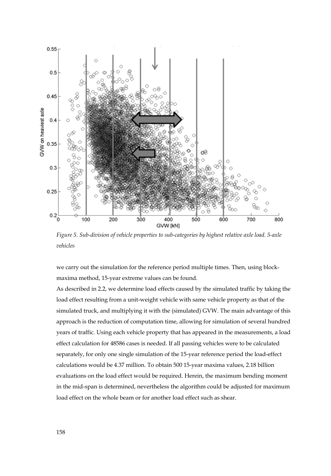

*Figure 5. Sub-division of vehicle properties to sub-categories by highest relative axle load. 5-axle vehicles* 

we carry out the simulation for the reference period multiple times. Then, using blockmaxima method, 15-year extreme values can be found.

As described in 2.2, we determine load effects caused by the simulated traffic by taking the load effect resulting from a unit-weight vehicle with same vehicle property as that of the simulated truck, and multiplying it with the (simulated) GVW. The main advantage of this approach is the reduction of computation time, allowing for simulation of several hundred years of traffic. Using each vehicle property that has appeared in the measurements, a load effect calculation for 48586 cases is needed. If all passing vehicles were to be calculated separately, for only one single simulation of the 15-year reference period the load-effect calculations would be 4.37 million. To obtain 500 15-year maxima values, 2.18 billion evaluations on the load effect would be required. Herein, the maximum bending moment in the mid-span is determined, nevertheless the algorithm could be adjusted for maximum load effect on the whole beam or for another load effect such as shear.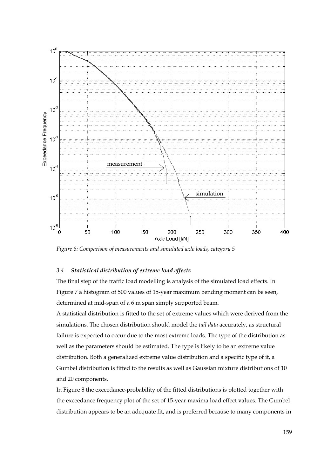

*Figure 6: Comparison of measurements and simulated axle loads, category 5* 

## *3.4 Statistical distribution of extreme load effects*

The final step of the traffic load modelling is analysis of the simulated load effects. In Figure 7 a histogram of 500 values of 15-year maximum bending moment can be seen, determined at mid-span of a 6 m span simply supported beam.

A statistical distribution is fitted to the set of extreme values which were derived from the simulations. The chosen distribution should model the *tail data* accurately, as structural failure is expected to occur due to the most extreme loads. The type of the distribution as well as the parameters should be estimated. The type is likely to be an extreme value distribution. Both a generalized extreme value distribution and a specific type of it, a Gumbel distribution is fitted to the results as well as Gaussian mixture distributions of 10 and 20 components.

In Figure 8 the exceedance-probability of the fitted distributions is plotted together with the exceedance frequency plot of the set of 15-year maxima load effect values. The Gumbel distribution appears to be an adequate fit, and is preferred because to many components in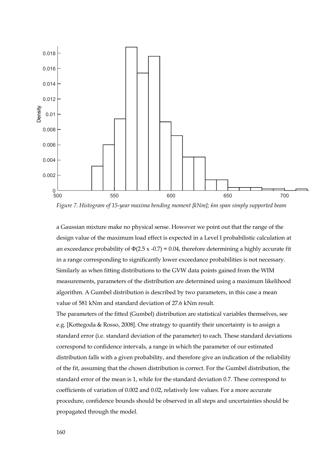

*Figure 7. Histogram of 15-year maxima bending moment [kNm]; 6m span simply supported beam* 

a Gaussian mixture make no physical sense. However we point out that the range of the design value of the maximum load effect is expected in a Level I probabilistic calculation at an exceedance probability of  $\Phi(2.5 \times -0.7) = 0.04$ , therefore determining a highly accurate fit in a range corresponding to significantly lower exceedance probabilities is not necessary. Similarly as when fitting distributions to the GVW data points gained from the WIM measurements, parameters of the distribution are determined using a maximum likelihood algorithm. A Gumbel distribution is described by two parameters, in this case a mean value of 581 kNm and standard deviation of 27.6 kNm result.

The parameters of the fitted (Gumbel) distribution are statistical variables themselves, see e.g. [Kottegoda & Rosso, 2008]. One strategy to quantify their uncertainty is to assign a standard error (i.e. standard deviation of the parameter) to each. These standard deviations correspond to confidence intervals, a range in which the parameter of our estimated distribution falls with a given probability, and therefore give an indication of the reliability of the fit, assuming that the chosen distribution is correct. For the Gumbel distribution, the standard error of the mean is 1, while for the standard deviation 0.7. These correspond to coefficients of variation of 0.002 and 0.02, relatively low values. For a more accurate procedure, confidence bounds should be observed in all steps and uncertainties should be propagated through the model.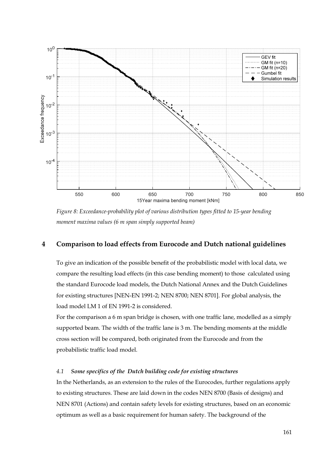

*Figure 8: Exceedance-probability plot of various distribution types fitted to 15-year bending moment maxima values (6 m span simply supported beam)* 

# **4 Comparison to load effects from Eurocode and Dutch national guidelines**

To give an indication of the possible benefit of the probabilistic model with local data, we compare the resulting load effects (in this case bending moment) to those calculated using the standard Eurocode load models, the Dutch National Annex and the Dutch Guidelines for existing structures [NEN-EN 1991-2; NEN 8700; NEN 8701]. For global analysis, the load model LM 1 of EN 1991-2 is considered.

For the comparison a 6 m span bridge is chosen, with one traffic lane, modelled as a simply supported beam. The width of the traffic lane is 3 m. The bending moments at the middle cross section will be compared, both originated from the Eurocode and from the probabilistic traffic load model.

### *4.1 Some specifics of the Dutch building code for existing structures*

In the Netherlands, as an extension to the rules of the Eurocodes, further regulations apply to existing structures. These are laid down in the codes NEN 8700 (Basis of designs) and NEN 8701 (Actions) and contain safety levels for existing structures, based on an economic optimum as well as a basic requirement for human safety. The background of the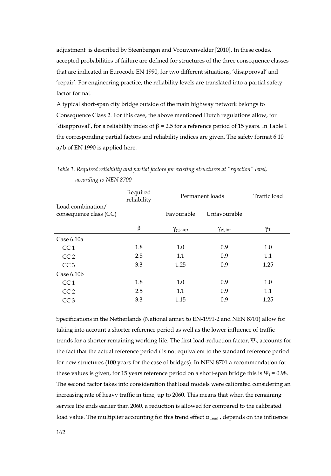adjustment is described by Steenbergen and Vrouwenvelder [2010]. In these codes, accepted probabilities of failure are defined for structures of the three consequence classes that are indicated in Eurocode EN 1990, for two different situations, 'disapproval' and 'repair'. For engineering practice, the reliability levels are translated into a partial safety factor format.

A typical short-span city bridge outside of the main highway network belongs to Consequence Class 2. For this case, the above mentioned Dutch regulations allow, for 'disapproval', for a reliability index of  $\beta$  = 2.5 for a reference period of 15 years. In Table 1 the corresponding partial factors and reliability indices are given. The safety format 6.10 a/b of EN 1990 is applied here.

|                                             | Required<br>reliability | Permanent loads        |                       | Traffic load     |
|---------------------------------------------|-------------------------|------------------------|-----------------------|------------------|
| Load combination/<br>consequence class (CC) |                         | Favourable             | Unfavourable          |                  |
|                                             | β                       | $\gamma_{\rm gi, sup}$ | $\gamma_{\rm gj,inf}$ | $\gamma_{\rm T}$ |
| Case $6.10a$                                |                         |                        |                       |                  |
| CC <sub>1</sub>                             | 1.8                     | 1.0                    | 0.9                   | 1.0              |
| CC <sub>2</sub>                             | 2.5                     | 1.1                    | 0.9                   | 1.1              |
| CC <sub>3</sub>                             | 3.3                     | 1.25                   | 0.9                   | 1.25             |
| Case $6.10b$                                |                         |                        |                       |                  |
| CC <sub>1</sub>                             | 1.8                     | 1.0                    | 0.9                   | 1.0              |
| CC <sub>2</sub>                             | 2.5                     | 1.1                    | 0.9                   | 1.1              |
| CC <sub>3</sub>                             | 3.3                     | 1.15                   | 0.9                   | 1.25             |

*Table 1. Required reliability and partial factors for existing structures at "rejection" level, according to NEN 8700* 

Specifications in the Netherlands (National annex to EN-1991-2 and NEN 8701) allow for taking into account a shorter reference period as well as the lower influence of traffic trends for a shorter remaining working life. The first load-reduction factor,  $\Psi_{t}$  accounts for the fact that the actual reference period *t* is not equivalent to the standard reference period for new structures (100 years for the case of bridges). In NEN-8701 a recommendation for these values is given, for 15 years reference period on a short-span bridge this is  $\Psi_t = 0.98$ . The second factor takes into consideration that load models were calibrated considering an increasing rate of heavy traffic in time, up to 2060. This means that when the remaining service life ends earlier than 2060, a reduction is allowed for compared to the calibrated load value. The multiplier accounting for this trend effect  $\alpha_{\text{trend}}$ , depends on the influence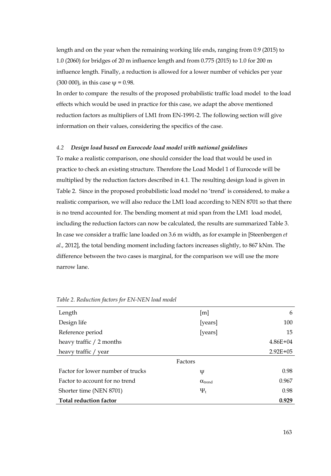length and on the year when the remaining working life ends, ranging from 0.9 (2015) to 1.0 (2060) for bridges of 20 m influence length and from 0.775 (2015) to 1.0 for 200 m influence length. Finally, a reduction is allowed for a lower number of vehicles per year  $(300 000)$ , in this case  $w = 0.98$ .

In order to compare the results of the proposed probabilistic traffic load model to the load effects which would be used in practice for this case, we adapt the above mentioned reduction factors as multipliers of LM1 from EN-1991-2. The following section will give information on their values, considering the specifics of the case.

#### *4.2 Design load based on Eurocode load model with national guidelines*

To make a realistic comparison, one should consider the load that would be used in practice to check an existing structure. Therefore the Load Model 1 of Eurocode will be multiplied by the reduction factors described in 4.1. The resulting design load is given in Table 2. Since in the proposed probabilistic load model no 'trend' is considered, to make a realistic comparison, we will also reduce the LM1 load according to NEN 8701 so that there is no trend accounted for. The bending moment at mid span from the LM1 load model, including the reduction factors can now be calculated, the results are summarized Table 3. In case we consider a traffic lane loaded on 3.6 m width, as for example in [Steenbergen *et al*., 2012], the total bending moment including factors increases slightly, to 867 kNm. The difference between the two cases is marginal, for the comparison we will use the more narrow lane.

| Length                            | $\lceil m \rceil$       | 6            |
|-----------------------------------|-------------------------|--------------|
| Design life                       | [years]                 | 100          |
| Reference period                  | [years]                 | 15           |
| heavy traffic / 2 months          |                         | $4.86E + 04$ |
| heavy traffic / year              |                         | $2.92E + 05$ |
|                                   | Factors                 |              |
| Factor for lower number of trucks | Ψ                       | 0.98         |
| Factor to account for no trend    | $\alpha_{\text{trend}}$ | 0.967        |
| Shorter time (NEN 8701)           | $\Psi_t$                | 0.98         |
| <b>Total reduction factor</b>     |                         | 0.929        |

*Table 2. Reduction factors for EN-NEN load model*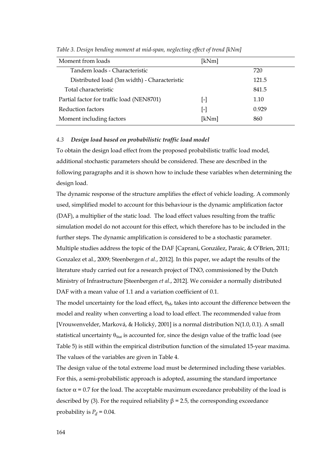| Moment from loads                            | [kNm] |       |  |
|----------------------------------------------|-------|-------|--|
| Tandem loads - Characteristic                |       | 720   |  |
| Distributed load (3m width) - Characteristic |       | 121.5 |  |
| Total characteristic                         |       | 841.5 |  |
| Partial factor for traffic load (NEN8701)    | ŀ1    | 1.10  |  |
| Reduction factors                            | ŀ1    | 0.929 |  |
| Moment including factors                     | [kNm] | 860   |  |

*Table 3. Design bending moment at mid-span, neglecting effect of trend [kNm]* 

## *4.3 Design load based on probabilistic traffic load model*

To obtain the design load effect from the proposed probabilistic traffic load model, additional stochastic parameters should be considered. These are described in the following paragraphs and it is shown how to include these variables when determining the design load.

The dynamic response of the structure amplifies the effect of vehicle loading. A commonly used, simplified model to account for this behaviour is the dynamic amplification factor (DAF), a multiplier of the static load. The load effect values resulting from the traffic simulation model do not account for this effect, which therefore has to be included in the further steps. The dynamic amplification is considered to be a stochastic parameter. Multiple studies address the topic of the DAF [Caprani, González, Paraic, & O'Brien, 2011; Gonzalez et al., 2009; Steenbergen *et al*., 2012]. In this paper, we adapt the results of the literature study carried out for a research project of TNO, commissioned by the Dutch Ministry of Infrastructure [Steenbergen *et al*., 2012]. We consider a normally distributed DAF with a mean value of 1.1 and a variation coefficient of 0.1.

The model uncertainty for the load effect,  $\theta_M$ , takes into account the difference between the model and reality when converting a load to load effect. The recommended value from [Vrouwenvelder, Marková, & Holický, 2001] is a normal distribution N(1.0, 0.1). A small statistical uncertainty  $\theta_{Stat}$  is accounted for, since the design value of the traffic load (see Table 5) is still within the empirical distribution function of the simulated 15-year maxima. The values of the variables are given in Table 4.

The design value of the total extreme load must be determined including these variables. For this, a semi-probabilistic approach is adopted, assuming the standard importance factor  $\alpha$  = 0.7 for the load. The acceptable maximum exceedance probability of the load is described by (3). For the required reliability  $β = 2.5$ , the corresponding exceedance probability is  $P_d = 0.04$ .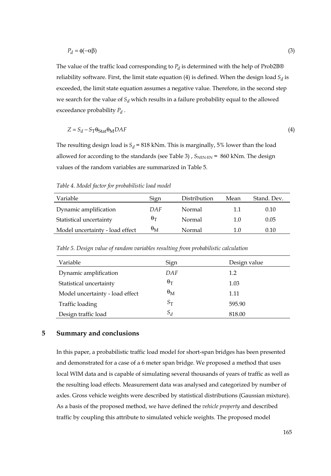$$
P_d = \phi(-\alpha \beta) \tag{3}
$$

The value of the traffic load corresponding to  $P_d$  is determined with the help of Prob2B® reliability software. First, the limit state equation (4) is defined. When the design load  $S_d$  is exceeded, the limit state equation assumes a negative value. Therefore, in the second step we search for the value of  $S_d$  which results in a failure probability equal to the allowed exceedance probability *Pd* .

$$
Z = S_d - S_T \Theta_{\text{Stat}} \Theta_M DAF \tag{4}
$$

The resulting design load is  $S_d = 818$  kNm. This is marginally, 5% lower than the load allowed for according to the standards (see Table 3),  $S_{NEN-EN}$  = 860 kNm. The design values of the random variables are summarized in Table 5.

| Variable                        | Sign             | Distribution | Mean | Stand, Dev. |
|---------------------------------|------------------|--------------|------|-------------|
| Dynamic amplification           | DAF              | Normal       | 1.1  | 0.10        |
| Statistical uncertainty         | $\theta_T$       | Normal       | 1.0  | 0.05        |
| Model uncertainty - load effect | $\theta_{\rm M}$ | Normal       | 1.0  | 0.10        |

*Table 4. Model factor for probabilistic load model* 

| Table 5. Design value of random variables resulting from probabilistic calculation |  |  |  |  |  |  |  |  |  |
|------------------------------------------------------------------------------------|--|--|--|--|--|--|--|--|--|
|------------------------------------------------------------------------------------|--|--|--|--|--|--|--|--|--|

| Variable                        | Sign             | Design value |
|---------------------------------|------------------|--------------|
| Dynamic amplification           | DAF              | 1.2          |
| Statistical uncertainty         | $\theta_{\rm T}$ | 1.03         |
| Model uncertainty - load effect | $\theta_{\rm M}$ | 1.11         |
| Traffic loading                 | $S_{\rm T}$      | 595.90       |
| Design traffic load             | $S_d$            | 818.00       |

## **5 Summary and conclusions**

In this paper, a probabilistic traffic load model for short-span bridges has been presented and demonstrated for a case of a 6 meter span bridge. We proposed a method that uses local WIM data and is capable of simulating several thousands of years of traffic as well as the resulting load effects. Measurement data was analysed and categorized by number of axles. Gross vehicle weights were described by statistical distributions (Gaussian mixture). As a basis of the proposed method, we have defined the *vehicle property* and described traffic by coupling this attribute to simulated vehicle weights. The proposed model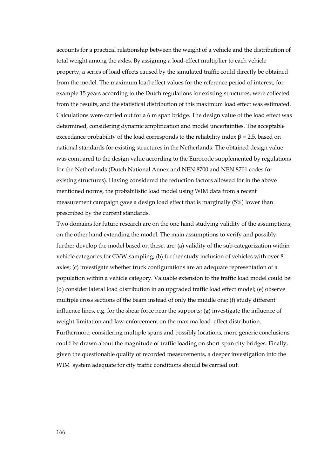accounts for a practical relationship between the weight of a vehicle and the distribution of total weight among the axles. By assigning a load-effect multiplier to each vehicle property, a series of load effects caused by the simulated traffic could directly be obtained from the model. The maximum load effect values for the reference period of interest, for example 15 years according to the Dutch regulations for existing structures, were collected from the results, and the statistical distribution of this maximum load effect was estimated. Calculations were carried out for a 6 m span bridge. The design value of the load effect was determined, considering dynamic amplification and model uncertainties. The acceptable exceedance probability of the load corresponds to the reliability index  $\beta$  = 2.5, based on national standards for existing structures in the Netherlands. The obtained design value was compared to the design value according to the Eurocode supplemented by regulations for the Netherlands (Dutch National Annex and NEN 8700 and NEN 8701 codes for existing structures). Having considered the reduction factors allowed for in the above mentioned norms, the probabilistic load model using WIM data from a recent measurement campaign gave a design load effect that is marginally (5%) lower than prescribed by the current standards.

Two domains for future research are on the one hand studying validity of the assumptions, on the other hand extending the model. The main assumptions to verify and possibly further develop the model based on these, are: (a) validity of the sub-categorization within vehicle categories for GVW-sampling; (b) further study inclusion of vehicles with over 8 axles; (c) investigate whether truck configurations are an adequate representation of a population within a vehicle category. Valuable extension to the traffic load model could be: (d) consider lateral load distribution in an upgraded traffic load effect model; (e) observe multiple cross sections of the beam instead of only the middle one; (f) study different influence lines, e.g. for the shear force near the supports; (g) investigate the influence of weight-limitation and law-enforcement on the maxima load–effect distribution. Furthermore, considering multiple spans and possibly locations, more generic conclusions could be drawn about the magnitude of traffic loading on short-span city bridges. Finally, given the questionable quality of recorded measurements, a deeper investigation into the WIM system adequate for city traffic conditions should be carried out.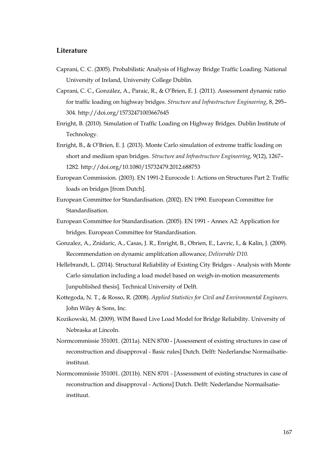# **Literature**

- Caprani, C. C. (2005). Probabilistic Analysis of Highway Bridge Traffic Loading. National University of Ireland, University College Dublin.
- Caprani, C. C., González, A., Paraic, R., & O'Brien, E. J. (2011). Assessment dynamic ratio for traffic loading on highway bridges. *Structure and Infrastructure Engineering*, 8, 295– 304. http://doi.org/15732471003667645
- Enright, B. (2010). Simulation of Traffic Loading on Highway Bridges. Dublin Institute of Technology.
- Enright, B., & O'Brien, E. J. (2013). Monte Carlo simulation of extreme traffic loading on short and medium span bridges. *Structure and Infrastructure Engineering*, 9(12), 1267– 1282. http://doi.org/10.1080/15732479.2012.688753
- European Commission. (2003). EN 1991-2 Eurocode 1: Actions on Structures Part 2: Traffic loads on bridges [from Dutch].
- European Committee for Standardisation. (2002). EN 1990. European Committee for Standardisation.
- European Committee for Standardisation. (2005). EN 1991 Annex A2: Application for bridges. European Committee for Standardisation.
- Gonzalez, A., Znidaric, A., Casas, J. R., Enright, B., Obrien, E., Lavric, I., & Kalin, J. (2009). Recommendation on dynamic amplifcation allowance, *Deliverable D10*.
- Hellebrandt, L. (2014). Structural Reliability of Existing City Bridges Analysis with Monte Carlo simulation including a load model based on weigh-in-motion measurements [unpublished thesis]. Technical University of Delft.
- Kottegoda, N. T., & Rosso, R. (2008). *Applied Statistics for Civil and Environmental Engineers*. John Wiley & Sons, Inc.
- Kozikowski, M. (2009). WIM Based Live Load Model for Bridge Reliability. University of Nebraska at Lincoln.
- Normcommissie 351001. (2011a). NEN 8700 [Assessment of existing structures in case of reconstruction and disapproval - Basic rules] Dutch. Delft: Nederlandse Normailsatieinstituut.
- Normcommissie 351001. (2011b). NEN 8701 [Assessment of existing structures in case of reconstruction and disapproval - Actions] Dutch. Delft: Nederlandse Normailsatieinstituut.